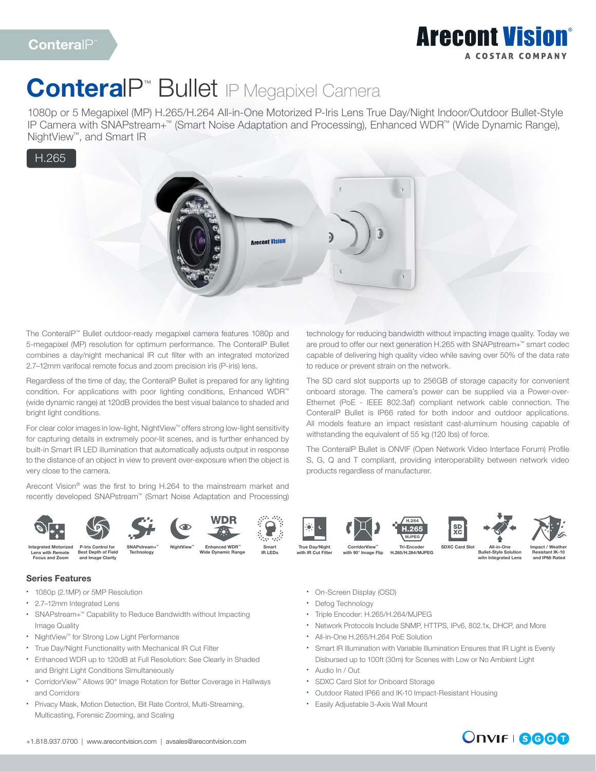## **Arecont Vision** A COSTAR COMPANY

# ConteralP<sup>™</sup> Bullet IP Megapixel Camera

1080p or 5 Megapixel (MP) H.265/H.264 All-in-One Motorized P-Iris Lens True Day/Night Indoor/Outdoor Bullet-Style IP Camera with SNAPstream+™ (Smart Noise Adaptation and Processing), Enhanced WDR™ (Wide Dynamic Range), NightView™, and Smart IR

### H.265



IR LEDs

The ConteraIP™ Bullet outdoor-ready megapixel camera features 1080p and 5-megapixel (MP) resolution for optimum performance. The ConteraIP Bullet combines a day/night mechanical IR cut filter with an integrated motorized 2.7–12mm varifocal remote focus and zoom precision iris (P-iris) lens.

Regardless of the time of day, the ConteraIP Bullet is prepared for any lighting condition. For applications with poor lighting conditions, Enhanced WDR™ (wide dynamic range) at 120dB provides the best visual balance to shaded and bright light conditions.

For clear color images in low-light, NightView™ offers strong low-light sensitivity for capturing details in extremely poor-lit scenes, and is further enhanced by built-in Smart IR LED illumination that automatically adjusts output in response to the distance of an object in view to prevent over-exposure when the object is very close to the camera.

Arecont Vision® was the first to bring H.264 to the mainstream market and recently developed SNAPstream™ (Smart Noise Adaptation and Processing) technology for reducing bandwidth without impacting image quality. Today we are proud to offer our next generation H.265 with SNAPstream+™ smart codec capable of delivering high quality video while saving over 50% of the data rate to reduce or prevent strain on the network.

The SD card slot supports up to 256GB of storage capacity for convenient onboard storage. The camera's power can be supplied via a Power-over-Ethernet (PoE - IEEE 802.3af) compliant network cable connection. The ConteraIP Bullet is IP66 rated for both indoor and outdoor applications. All models feature an impact resistant cast-aluminum housing capable of withstanding the equivalent of 55 kg (120 lbs) of force.

The ConteraIP Bullet is ONVIF (Open Network Video Interface Forum) Profile S, G, Q and T compliant, providing interoperability between network video products regardless of manufacturer.



**Technology** 

Lens with Remote Focus and Zoom

#### Best Depth of Field and Image Clarity

### Series Features

- 1080p (2.1MP) or 5MP Resolution
- 2.7–12mm Integrated Lens
- SNAPstream+™ Capability to Reduce Bandwidth without Impacting Image Quality
- NightView™ for Strong Low Light Performance
- True Day/Night Functionality with Mechanical IR Cut Filter
- Enhanced WDR up to 120dB at Full Resolution: See Clearly in Shaded and Bright Light Conditions Simultaneously
- CorridorView™ Allows 90° Image Rotation for Better Coverage in Hallways and Corridors
- Privacy Mask, Motion Detection, Bit Rate Control, Multi-Streaming, Multicasting, Forensic Zooming, and Scaling

H.264 SD<br>XC H.265 MJPEG NightView™ Enhanced WDR™ Smart True Day/Night CorridorView™ Tri-Encoder SDXC Card Slot<br>Wide Dynamic Range IR LEDs with IR Cut Filter with 90° Image Flip H.265/H.264/MJPEG True Day/Night with IR Cut Filter Tri-Encoder H.265/H.264/MJPEG





CorridorView™ with 90° Image Flip

All-in-One



Bullet-Style Solution itn Integrat

Impact / Weather Resistant IK-10 and IP66 Rated

- On-Screen Display (OSD)
- Defog Technology
- Triple Encoder: H.265/H.264/MJPEG
- Network Protocols Include SNMP, HTTPS, IPv6, 802.1x, DHCP, and More
- All-in-One H.265/H.264 PoE Solution
- Smart IR Illumination with Variable Illumination Ensures that IR Light is Evenly Disbursed up to 100ft (30m) for Scenes with Low or No Ambient Light
- Audio In / Out
- SDXC Card Slot for Onboard Storage
- Outdoor Rated IP66 and IK-10 Impact-Resistant Housing
- Easily Adjustable 3-Axis Wall Mount

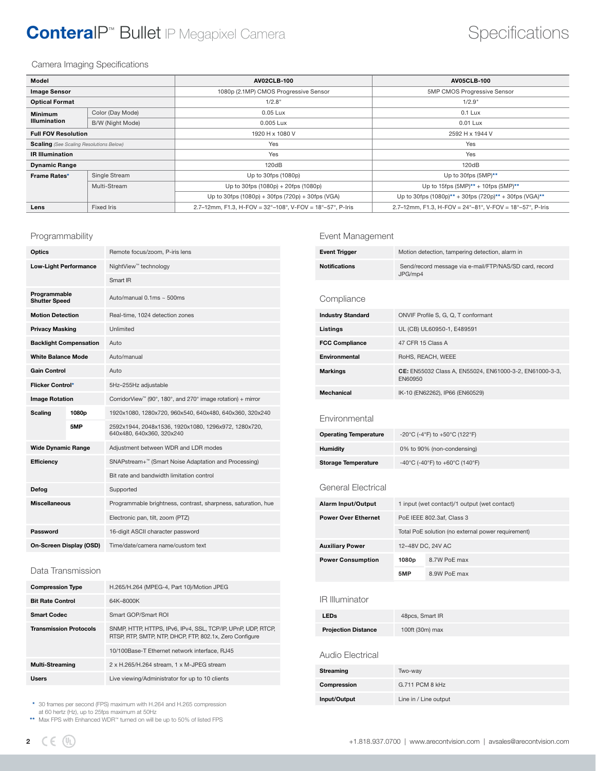## ConteralP<sup>™</sup> Bullet IP Megapixel Camera Specifications

#### Camera Imaging Specifications

| Model                                          |                  | AV02CLB-100                                                                   | <b>AV05CLB-100</b>                                       |  |
|------------------------------------------------|------------------|-------------------------------------------------------------------------------|----------------------------------------------------------|--|
| <b>Image Sensor</b>                            |                  | 1080p (2.1MP) CMOS Progressive Sensor                                         | 5MP CMOS Progressive Sensor                              |  |
| <b>Optical Format</b>                          |                  | 1/2.8"                                                                        | 1/2.9"                                                   |  |
| <b>Minimum</b>                                 | Color (Day Mode) | 0.05 Lux                                                                      | $0.1$ Lux                                                |  |
| <b>Illumination</b>                            | B/W (Night Mode) | 0.005 Lux                                                                     | 0.01 Lux                                                 |  |
| <b>Full FOV Resolution</b>                     |                  | 1920 H x 1080 V<br>2592 H x 1944 V                                            |                                                          |  |
| <b>Scaling</b> (See Scaling Resolutions Below) |                  | Yes<br>Yes                                                                    |                                                          |  |
| <b>IR Illumination</b>                         |                  | Yes<br>Yes                                                                    |                                                          |  |
| <b>Dynamic Range</b>                           |                  | 120dB<br>120dB                                                                |                                                          |  |
| Frame Rates*                                   | Single Stream    | Up to 30fps (1080p)                                                           | Up to 30fps $(5MP)^{**}$                                 |  |
|                                                | Multi-Stream     | Up to 30fps (1080p) + 20fps (1080p)                                           | Up to 15fps $(5MP)^{**}$ + 10fps $(5MP)^{**}$            |  |
|                                                |                  | Up to 30fps $(1080p) + 30fps (720p) + 30fps (VGA)$                            | Up to 30fps (1080p)** + 30fps (720p)** + 30fps (VGA)**   |  |
| Lens                                           | Fixed Iris       | 2.7–12mm, F1.3, H-FOV = $32^{\circ}$ –108°, V-FOV = $18^{\circ}$ –57°, P-Iris | 2.7-12mm, F1.3, H-FOV = 24°-81°, V-FOV = 18°-57°, P-Iris |  |

#### Programmability

| Optics                               |       | Remote focus/zoom, P-iris lens                                                    |  |
|--------------------------------------|-------|-----------------------------------------------------------------------------------|--|
| <b>Low-Light Performance</b>         |       | NightView <sup>™</sup> technology                                                 |  |
|                                      |       | Smart IR                                                                          |  |
| Programmable<br><b>Shutter Speed</b> |       | Auto/manual $0.1$ ms ~ 500ms                                                      |  |
| <b>Motion Detection</b>              |       | Real-time, 1024 detection zones                                                   |  |
| <b>Privacy Masking</b>               |       | Unlimited                                                                         |  |
| <b>Backlight Compensation</b>        |       | Auto                                                                              |  |
| <b>White Balance Mode</b>            |       | Auto/manual                                                                       |  |
| <b>Gain Control</b>                  |       | Auto                                                                              |  |
| Flicker Control*                     |       | 5Hz-255Hz adjustable                                                              |  |
| <b>Image Rotation</b>                |       | CorridorView <sup>™</sup> (90°, 180°, and 270° image rotation) + mirror           |  |
| <b>Scaling</b>                       | 1080p | 1920x1080, 1280x720, 960x540, 640x480, 640x360, 320x240                           |  |
|                                      | 5MP   | 2592x1944, 2048x1536, 1920x1080, 1296x972, 1280x720,<br>640x480, 640x360, 320x240 |  |
| <b>Wide Dynamic Range</b>            |       | Adjustment between WDR and LDR modes                                              |  |
| Efficiency                           |       | SNAPstream+™ (Smart Noise Adaptation and Processing)                              |  |
|                                      |       | Bit rate and bandwidth limitation control                                         |  |
| Defog                                |       | Supported                                                                         |  |
| <b>Miscellaneous</b>                 |       | Programmable brightness, contrast, sharpness, saturation, hue                     |  |
|                                      |       | Electronic pan, tilt, zoom (PTZ)                                                  |  |
| Password                             |       | 16-digit ASCII character password                                                 |  |
| On-Screen Display (OSD)              |       | Time/date/camera name/custom text                                                 |  |

#### Data Transmission

| <b>Compression Type</b>       | H.265/H.264 (MPEG-4, Part 10)/Motion JPEG                                                                               |  |
|-------------------------------|-------------------------------------------------------------------------------------------------------------------------|--|
| <b>Bit Rate Control</b>       | 64K-8000K                                                                                                               |  |
| <b>Smart Codec</b>            | Smart GOP/Smart ROI                                                                                                     |  |
| <b>Transmission Protocols</b> | SNMP, HTTP, HTTPS, IPv6, IPv4, SSL, TCP/IP, UPnP, UDP, RTCP,<br>RTSP, RTP, SMTP, NTP, DHCP, FTP, 802.1x, Zero Configure |  |
|                               | 10/100Base-T Ethernet network interface, RJ45                                                                           |  |
| Multi-Streaming               | 2 x H.265/H.264 stream, 1 x M-JPEG stream                                                                               |  |
| <b>Users</b>                  | Live viewing/Administrator for up to 10 clients                                                                         |  |

\* 30 frames per second (FPS) maximum with H.264 and H.265 compression at 60 hertz (Hz), up to 25fps maximum at 50Hz

\*\* Max FPS with Enhanced WDR™ turned on will be up to 50% of listed FPS

### Event Management

| <b>Event Trigger</b>     | Motion detection, tampering detection, alarm in                   |
|--------------------------|-------------------------------------------------------------------|
| <b>Notifications</b>     | Send/record message via e-mail/FTP/NAS/SD card, record<br>JPG/mp4 |
| Compliance               |                                                                   |
| <b>Industry Standard</b> | ONVIF Profile S, G, Q, T conformant                               |
| Listings                 | UL (CB) UL60950-1, E489591                                        |

| Listings              | UL (CB) UL60950-1, E489591                                         |
|-----------------------|--------------------------------------------------------------------|
| <b>FCC Compliance</b> | 47 CFR 15 Class A                                                  |
| Environmental         | RoHS, REACH, WEEE                                                  |
| <b>Markings</b>       | CE: EN55032 Class A. EN55024. EN61000-3-2. EN61000-3-3.<br>EN60950 |
| Mechanical            | IK-10 (EN62262), IP66 (EN60529)                                    |

#### Environmental

| <b>Operating Temperature</b> | -20°C (-4°F) to +50°C (122°F)  |
|------------------------------|--------------------------------|
| <b>Humidity</b>              | 0% to 90% (non-condensing)     |
| <b>Storage Temperature</b>   | -40°C (-40°F) to +60°C (140°F) |

#### General Electrical

| <b>Alarm Input/Output</b>  | 1 input (wet contact)/1 output (wet contact) |                                                    |  |
|----------------------------|----------------------------------------------|----------------------------------------------------|--|
| <b>Power Over Ethernet</b> | PoE IEEE 802.3af, Class 3                    |                                                    |  |
|                            |                                              | Total PoE solution (no external power requirement) |  |
| <b>Auxiliary Power</b>     | 12-48V DC, 24V AC                            |                                                    |  |
| <b>Power Consumption</b>   | 1080 <sub>p</sub>                            | 8.7W PoE max                                       |  |
|                            | 5MP                                          | 8.9W PoE max                                       |  |

#### IR Illuminator

| <b>LEDs</b>                | 48pcs, Smart IR |
|----------------------------|-----------------|
| <b>Projection Distance</b> | 100ft (30m) max |

#### Audio Electrical

| Streaming    | Two-way               |
|--------------|-----------------------|
| Compression  | G.711 PCM 8 kHz       |
| Input/Output | Line in / Line output |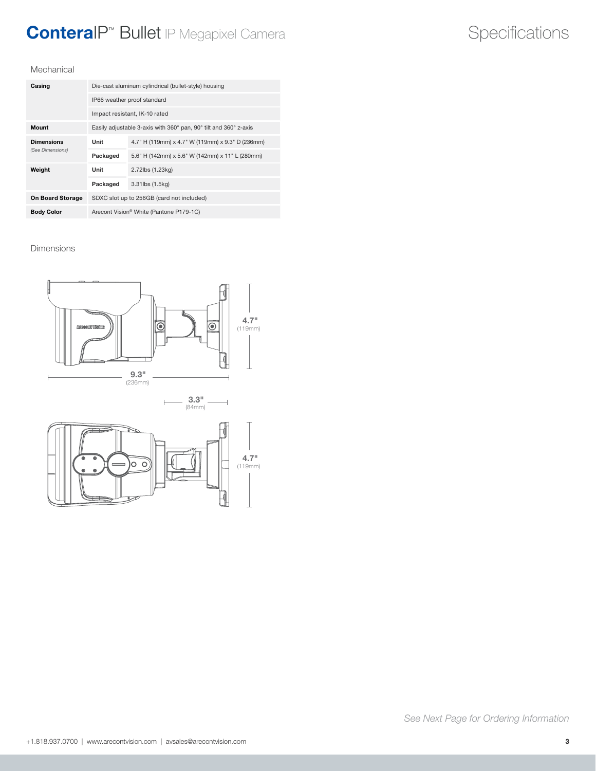## ConteraIP Specifications ™ Bullet IP Megapixel Camera

#### Mechanical

| Casing                  | Die-cast aluminum cylindrical (bullet-style) housing             |                                                  |  |
|-------------------------|------------------------------------------------------------------|--------------------------------------------------|--|
|                         | IP66 weather proof standard                                      |                                                  |  |
|                         | Impact resistant, IK-10 rated                                    |                                                  |  |
| <b>Mount</b>            | Easily adjustable 3-axis with 360° pan, 90° tilt and 360° z-axis |                                                  |  |
| <b>Dimensions</b>       | Unit                                                             | 4.7" H (119mm) x 4.7" W (119mm) x 9.3" D (236mm) |  |
| (See Dimensions)        | Packaged                                                         | 5.6" H (142mm) x 5.6" W (142mm) x 11" L (280mm)  |  |
| Weight                  | Unit                                                             | 2.72lbs (1.23kg)                                 |  |
|                         | Packaged                                                         | 3.31lbs (1.5kg)                                  |  |
| <b>On Board Storage</b> | SDXC slot up to 256GB (card not included)                        |                                                  |  |
| <b>Body Color</b>       | Arecont Vision <sup>®</sup> White (Pantone P179-1C)              |                                                  |  |

#### Dimensions